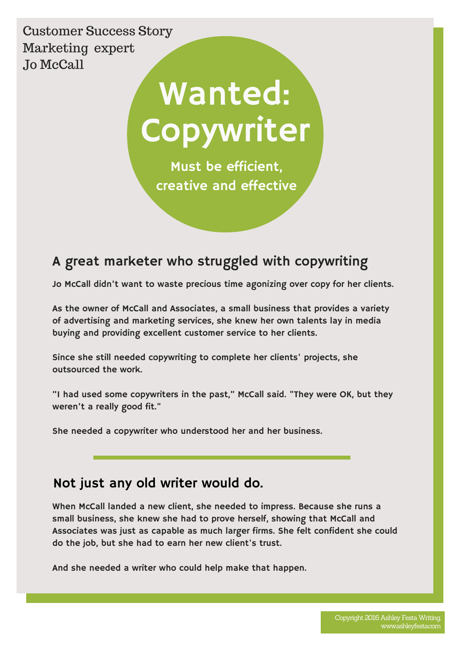Customer Success Story Marketing expert Jo McCall

# Copywriter Wanted:

Must be efficient, creative and effective

# A great marketer who struggled with copywriting

Jo McCall didn't want to waste precious time agonizing over copy for her clients.

As the owner of McCall and Associates, a small business that provides a variety of advertising and marketing services, she knew her own talents lay in media buying and providing excellent customer service to her clients.

Since she still needed copywriting to complete her clients' projects, she outsourced the work.

"I had used some copywriters in the past," McCall said. "They were OK, but they weren't a really good fit."

She needed a copywriter who understood her and her business.

### Not just any old writer would do.

When McCall landed a new client, she needed to impress. Because she runs a small business, she knew she had to prove herself, showing that McCall and Associates was just as capable as much larger firms. She felt confident she could do the job, but she had to earn her new client's trust.

And she needed a writer who could help make that happen.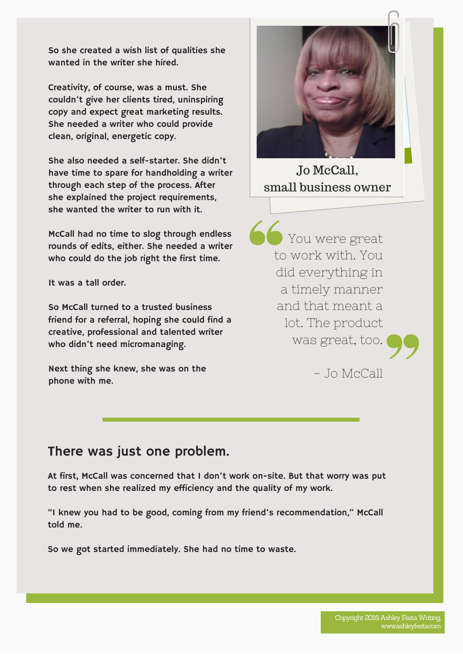So she created a wish list of qualities she wanted in the writer she hired.

Creativity, of course, was a must. She couldn't give her clients tired, uninspiring copy and expect great marketing results. She needed a writer who could provide clean, original, energetic copy.

She also needed a self-starter. She didn't have time to spare for handholding a writer through each step of the process. After she explained the project requirements, she wanted the writer to run with it.

McCall had no time to slog through endless rounds of edits, either. She needed a writer who could do the job right the first time.

It was a tall order.

So McCall turned to a trusted business friend for a referral, hoping she could find a creative, professional and talented writer who didn't need micromanaging.

Next thing she knew, she was on the phone with me.



Jo McCall, small business owner

You were great to work with. You did everything in a timely manner and that meant a lot. The product was great, too.



- Jo McCall

#### There was just one problem.

At first, McCall was concerned that I don't work on-site. But that worry was put to rest when she realized my efficiency and the quality of my work.

"I knew you had to be good, coming from my friend's recommendation," McCall told me.

So we got started immediately. She had no time to waste.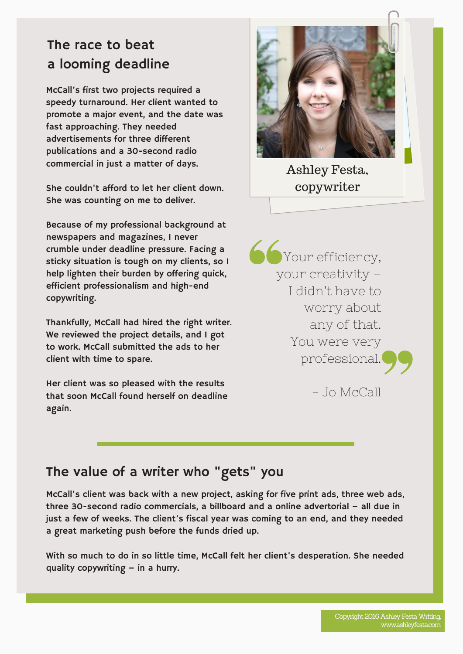# The race to beat a looming deadline

McCall's first two projects required a speedy turnaround. Her client wanted to promote a major event, and the date was fast approaching. They needed advertisements for three different publications and a 30-second radio commercial in just a matter of days.

She couldn't afford to let her client down. She was counting on me to deliver.

Because of my professional background at newspapers and magazines, I never crumble under deadline pressure. Facing a sticky situation is tough on my clients, so I help lighten their burden by offering quick, efficient professionalism and high-end copywriting.

Thankfully, McCall had hired the right writer. We reviewed the project details, and I got to work. McCall submitted the ads to her client with time to spare.

Her client was so pleased with the results that soon McCall found herself on deadline again.



Ashley Festa, copywriter

**Conservation** your creativity – I didn't have to worry about any of that. You were very professional.

 $-$  Io McCall

## The value of a writer who "gets" you

McCall's client was back with a new project, asking for five print ads, three web ads, three 30-second radio commercials, a billboard and a online advertorial – all due in just a few of weeks. The client's fiscal year was coming to an end, and they needed a great marketing push before the funds dried up.

With so much to do in so little time, McCall felt her client's desperation. She needed quality copywriting – in a hurry.